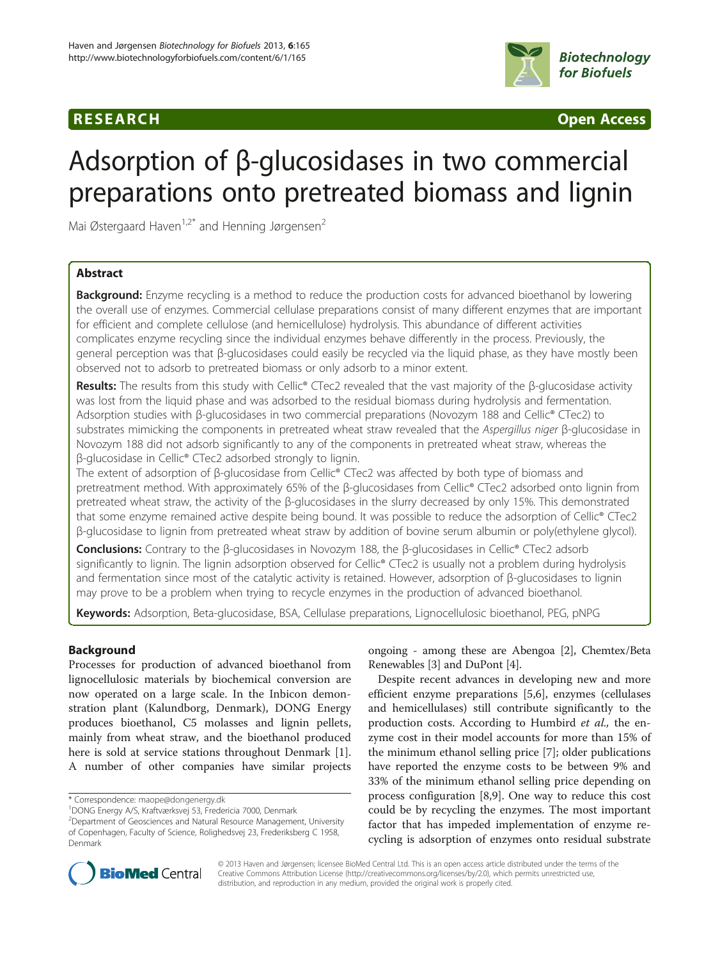# **RESEARCH CHINESE ARCH CHINESE ARCH CHINESE ARCH**



# Adsorption of β-glucosidases in two commercial preparations onto pretreated biomass and lignin

Mai Østergaard Haven<sup>1,2\*</sup> and Henning Jørgensen<sup>2</sup>

# Abstract

**Background:** Enzyme recycling is a method to reduce the production costs for advanced bioethanol by lowering the overall use of enzymes. Commercial cellulase preparations consist of many different enzymes that are important for efficient and complete cellulose (and hemicellulose) hydrolysis. This abundance of different activities complicates enzyme recycling since the individual enzymes behave differently in the process. Previously, the general perception was that β-glucosidases could easily be recycled via the liquid phase, as they have mostly been observed not to adsorb to pretreated biomass or only adsorb to a minor extent.

Results: The results from this study with Cellic® CTec2 revealed that the vast majority of the  $\beta$ -glucosidase activity was lost from the liquid phase and was adsorbed to the residual biomass during hydrolysis and fermentation. Adsorption studies with β-glucosidases in two commercial preparations (Novozym 188 and Cellic® CTec2) to substrates mimicking the components in pretreated wheat straw revealed that the Aspergillus niger β-glucosidase in Novozym 188 did not adsorb significantly to any of the components in pretreated wheat straw, whereas the β-glucosidase in Cellic® CTec2 adsorbed strongly to lignin.

The extent of adsorption of β-glucosidase from Cellic® CTec2 was affected by both type of biomass and pretreatment method. With approximately 65% of the β-glucosidases from Cellic® CTec2 adsorbed onto lignin from pretreated wheat straw, the activity of the β-glucosidases in the slurry decreased by only 15%. This demonstrated that some enzyme remained active despite being bound. It was possible to reduce the adsorption of Cellic® CTec2 β-glucosidase to lignin from pretreated wheat straw by addition of bovine serum albumin or poly(ethylene glycol).

Conclusions: Contrary to the β-glucosidases in Novozym 188, the β-glucosidases in Cellic® CTec2 adsorb significantly to lignin. The lignin adsorption observed for Cellic® CTec2 is usually not a problem during hydrolysis and fermentation since most of the catalytic activity is retained. However, adsorption of  $\beta$ -glucosidases to lignin may prove to be a problem when trying to recycle enzymes in the production of advanced bioethanol.

Keywords: Adsorption, Beta-glucosidase, BSA, Cellulase preparations, Lignocellulosic bioethanol, PEG, pNPG

# Background

Processes for production of advanced bioethanol from lignocellulosic materials by biochemical conversion are now operated on a large scale. In the Inbicon demonstration plant (Kalundborg, Denmark), DONG Energy produces bioethanol, C5 molasses and lignin pellets, mainly from wheat straw, and the bioethanol produced here is sold at service stations throughout Denmark [1]. A number of other companies have similar projects

\* Correspondence: maope@dongenergy.dk <sup>1</sup>

ongoing - among these are Abengoa [2], Chemtex/Beta Renewables [3] and DuPont [4].

Despite recent advances in developing new and more efficient enzyme preparations [5,6], enzymes (cellulases and hemicellulases) still contribute significantly to the production costs. According to Humbird et al., the enzyme cost in their model accounts for more than 15% of the minimum ethanol selling price [7]; older publications have reported the enzyme costs to be between 9% and 33% of the minimum ethanol selling price depending on process configuration [8,9]. One way to reduce this cost could be by recycling the enzymes. The most important factor that has impeded implementation of enzyme recycling is adsorption of enzymes onto residual substrate



© 2013 Haven and Jørgensen; licensee BioMed Central Ltd. This is an open access article distributed under the terms of the Creative Commons Attribution License (http://creativecommons.org/licenses/by/2.0), which permits unrestricted use, distribution, and reproduction in any medium, provided the original work is properly cited.

DONG Energy A/S, Kraftværksvej 53, Fredericia 7000, Denmark <sup>2</sup>Department of Geosciences and Natural Resource Management, University of Copenhagen, Faculty of Science, Rolighedsvej 23, Frederiksberg C 1958, Denmark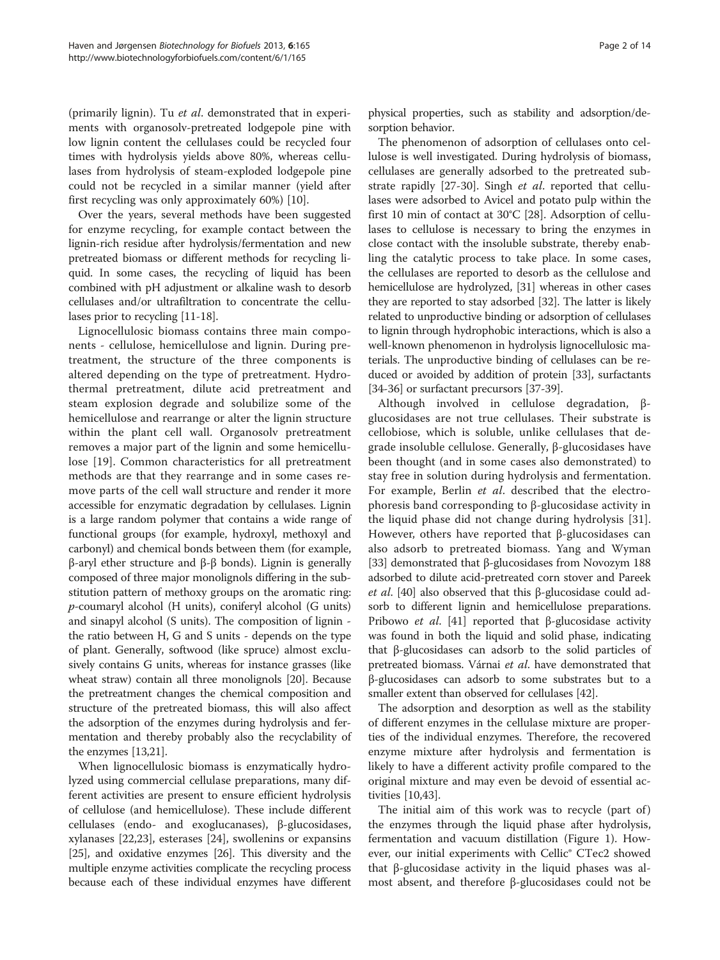(primarily lignin). Tu et al. demonstrated that in experiments with organosolv-pretreated lodgepole pine with low lignin content the cellulases could be recycled four times with hydrolysis yields above 80%, whereas cellulases from hydrolysis of steam-exploded lodgepole pine could not be recycled in a similar manner (yield after first recycling was only approximately 60%) [10].

Over the years, several methods have been suggested for enzyme recycling, for example contact between the lignin-rich residue after hydrolysis/fermentation and new pretreated biomass or different methods for recycling liquid. In some cases, the recycling of liquid has been combined with pH adjustment or alkaline wash to desorb cellulases and/or ultrafiltration to concentrate the cellulases prior to recycling [11-18].

Lignocellulosic biomass contains three main components - cellulose, hemicellulose and lignin. During pretreatment, the structure of the three components is altered depending on the type of pretreatment. Hydrothermal pretreatment, dilute acid pretreatment and steam explosion degrade and solubilize some of the hemicellulose and rearrange or alter the lignin structure within the plant cell wall. Organosolv pretreatment removes a major part of the lignin and some hemicellulose [19]. Common characteristics for all pretreatment methods are that they rearrange and in some cases remove parts of the cell wall structure and render it more accessible for enzymatic degradation by cellulases. Lignin is a large random polymer that contains a wide range of functional groups (for example, hydroxyl, methoxyl and carbonyl) and chemical bonds between them (for example, β-aryl ether structure and β-β bonds). Lignin is generally composed of three major monolignols differing in the substitution pattern of methoxy groups on the aromatic ring: p-coumaryl alcohol (H units), coniferyl alcohol (G units) and sinapyl alcohol (S units). The composition of lignin the ratio between H, G and S units - depends on the type of plant. Generally, softwood (like spruce) almost exclusively contains G units, whereas for instance grasses (like wheat straw) contain all three monolignols [20]. Because the pretreatment changes the chemical composition and structure of the pretreated biomass, this will also affect the adsorption of the enzymes during hydrolysis and fermentation and thereby probably also the recyclability of the enzymes [13,21].

When lignocellulosic biomass is enzymatically hydrolyzed using commercial cellulase preparations, many different activities are present to ensure efficient hydrolysis of cellulose (and hemicellulose). These include different cellulases (endo- and exoglucanases), β-glucosidases, xylanases [22,23], esterases [24], swollenins or expansins [25], and oxidative enzymes [26]. This diversity and the multiple enzyme activities complicate the recycling process because each of these individual enzymes have different

physical properties, such as stability and adsorption/desorption behavior.

The phenomenon of adsorption of cellulases onto cellulose is well investigated. During hydrolysis of biomass, cellulases are generally adsorbed to the pretreated substrate rapidly [27-30]. Singh et al. reported that cellulases were adsorbed to Avicel and potato pulp within the first 10 min of contact at 30°C [28]. Adsorption of cellulases to cellulose is necessary to bring the enzymes in close contact with the insoluble substrate, thereby enabling the catalytic process to take place. In some cases, the cellulases are reported to desorb as the cellulose and hemicellulose are hydrolyzed, [31] whereas in other cases they are reported to stay adsorbed [32]. The latter is likely related to unproductive binding or adsorption of cellulases to lignin through hydrophobic interactions, which is also a well-known phenomenon in hydrolysis lignocellulosic materials. The unproductive binding of cellulases can be reduced or avoided by addition of protein [33], surfactants [34-36] or surfactant precursors [37-39].

Although involved in cellulose degradation, βglucosidases are not true cellulases. Their substrate is cellobiose, which is soluble, unlike cellulases that degrade insoluble cellulose. Generally, β-glucosidases have been thought (and in some cases also demonstrated) to stay free in solution during hydrolysis and fermentation. For example, Berlin et al. described that the electrophoresis band corresponding to β-glucosidase activity in the liquid phase did not change during hydrolysis [31]. However, others have reported that β-glucosidases can also adsorb to pretreated biomass. Yang and Wyman [33] demonstrated that β-glucosidases from Novozym 188 adsorbed to dilute acid-pretreated corn stover and Pareek et al. [40] also observed that this β-glucosidase could adsorb to different lignin and hemicellulose preparations. Pribowo *et al.* [41] reported that β-glucosidase activity was found in both the liquid and solid phase, indicating that β-glucosidases can adsorb to the solid particles of pretreated biomass. Várnai et al. have demonstrated that β-glucosidases can adsorb to some substrates but to a smaller extent than observed for cellulases [42].

The adsorption and desorption as well as the stability of different enzymes in the cellulase mixture are properties of the individual enzymes. Therefore, the recovered enzyme mixture after hydrolysis and fermentation is likely to have a different activity profile compared to the original mixture and may even be devoid of essential activities [10,43].

The initial aim of this work was to recycle (part of) the enzymes through the liquid phase after hydrolysis, fermentation and vacuum distillation (Figure 1). However, our initial experiments with Cellic® CTec2 showed that β-glucosidase activity in the liquid phases was almost absent, and therefore β-glucosidases could not be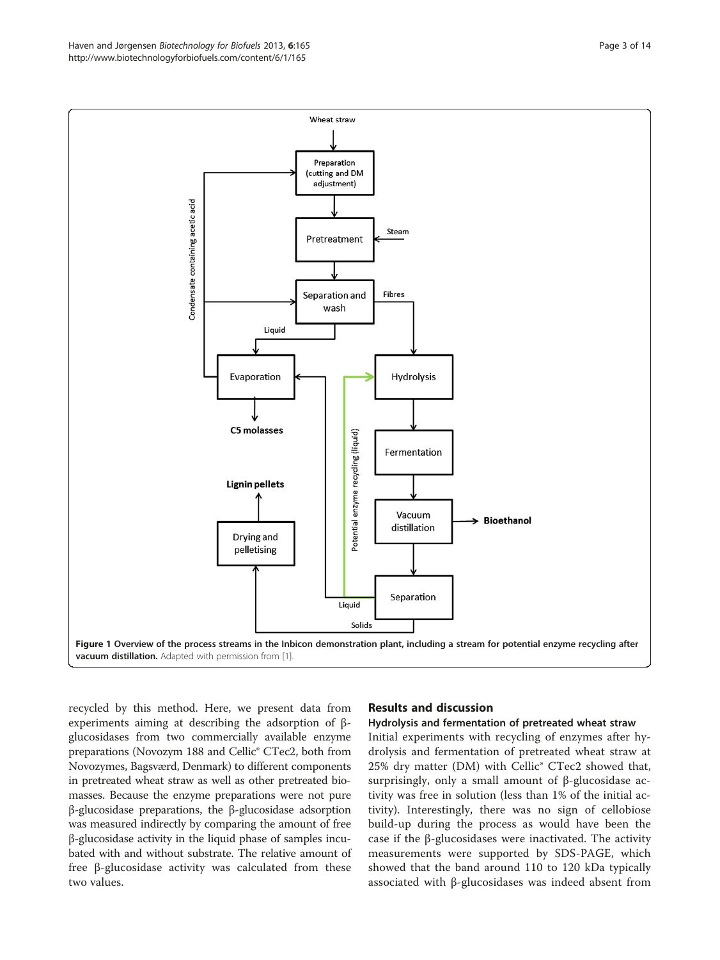

recycled by this method. Here, we present data from experiments aiming at describing the adsorption of βglucosidases from two commercially available enzyme preparations (Novozym 188 and Cellic® CTec2, both from Novozymes, Bagsværd, Denmark) to different components in pretreated wheat straw as well as other pretreated biomasses. Because the enzyme preparations were not pure β-glucosidase preparations, the β-glucosidase adsorption was measured indirectly by comparing the amount of free β-glucosidase activity in the liquid phase of samples incubated with and without substrate. The relative amount of free β-glucosidase activity was calculated from these two values.

# Results and discussion

Hydrolysis and fermentation of pretreated wheat straw

Initial experiments with recycling of enzymes after hydrolysis and fermentation of pretreated wheat straw at 25% dry matter (DM) with Cellic® CTec2 showed that, surprisingly, only a small amount of β-glucosidase activity was free in solution (less than 1% of the initial activity). Interestingly, there was no sign of cellobiose build-up during the process as would have been the case if the β-glucosidases were inactivated. The activity measurements were supported by SDS-PAGE, which showed that the band around 110 to 120 kDa typically associated with β-glucosidases was indeed absent from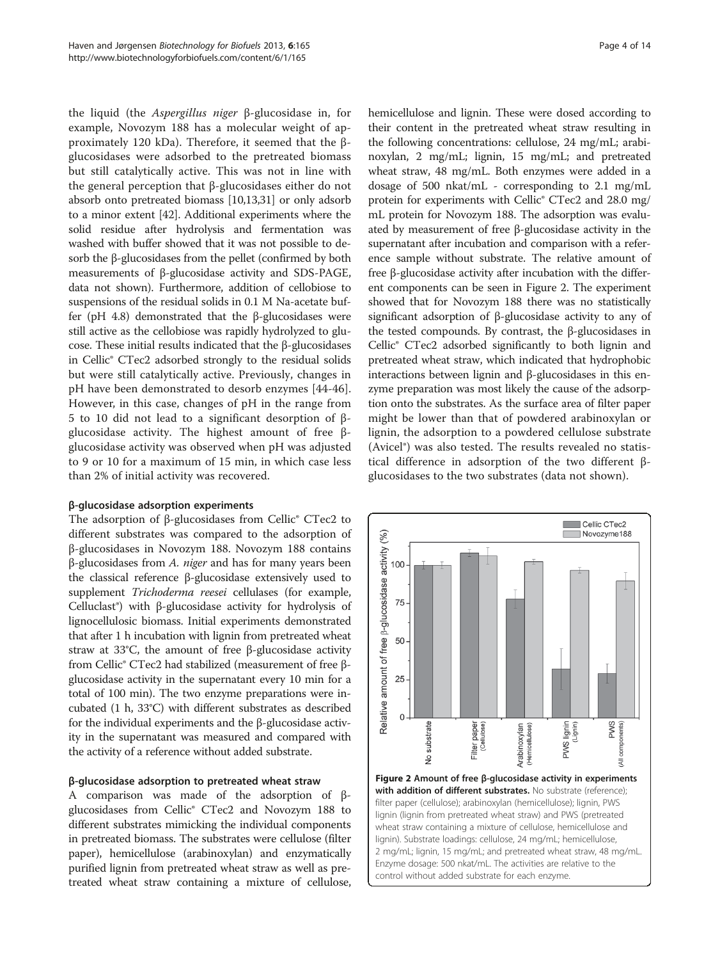the liquid (the Aspergillus niger β-glucosidase in, for example, Novozym 188 has a molecular weight of approximately 120 kDa). Therefore, it seemed that the βglucosidases were adsorbed to the pretreated biomass but still catalytically active. This was not in line with the general perception that β-glucosidases either do not absorb onto pretreated biomass [10,13,31] or only adsorb to a minor extent [42]. Additional experiments where the solid residue after hydrolysis and fermentation was washed with buffer showed that it was not possible to desorb the β-glucosidases from the pellet (confirmed by both measurements of β-glucosidase activity and SDS-PAGE, data not shown). Furthermore, addition of cellobiose to suspensions of the residual solids in 0.1 M Na-acetate buffer (pH 4.8) demonstrated that the β-glucosidases were still active as the cellobiose was rapidly hydrolyzed to glucose. These initial results indicated that the β-glucosidases in Cellic® CTec2 adsorbed strongly to the residual solids but were still catalytically active. Previously, changes in pH have been demonstrated to desorb enzymes [44-46]. However, in this case, changes of pH in the range from 5 to 10 did not lead to a significant desorption of βglucosidase activity. The highest amount of free βglucosidase activity was observed when pH was adjusted to 9 or 10 for a maximum of 15 min, in which case less than 2% of initial activity was recovered.

#### β-glucosidase adsorption experiments

The adsorption of β-glucosidases from Cellic® CTec2 to different substrates was compared to the adsorption of β-glucosidases in Novozym 188. Novozym 188 contains  $β$ -glucosidases from *A. niger* and has for many years been the classical reference β-glucosidase extensively used to supplement Trichoderma reesei cellulases (for example, Celluclast®) with β-glucosidase activity for hydrolysis of lignocellulosic biomass. Initial experiments demonstrated that after 1 h incubation with lignin from pretreated wheat straw at 33°C, the amount of free β-glucosidase activity from Cellic® CTec2 had stabilized (measurement of free βglucosidase activity in the supernatant every 10 min for a total of 100 min). The two enzyme preparations were incubated (1 h, 33°C) with different substrates as described for the individual experiments and the β-glucosidase activity in the supernatant was measured and compared with the activity of a reference without added substrate.

# β-glucosidase adsorption to pretreated wheat straw

A comparison was made of the adsorption of βglucosidases from Cellic® CTec2 and Novozym 188 to different substrates mimicking the individual components in pretreated biomass. The substrates were cellulose (filter paper), hemicellulose (arabinoxylan) and enzymatically purified lignin from pretreated wheat straw as well as pretreated wheat straw containing a mixture of cellulose, hemicellulose and lignin. These were dosed according to their content in the pretreated wheat straw resulting in the following concentrations: cellulose, 24 mg/mL; arabinoxylan, 2 mg/mL; lignin, 15 mg/mL; and pretreated wheat straw, 48 mg/mL. Both enzymes were added in a dosage of 500 nkat/mL - corresponding to 2.1 mg/mL protein for experiments with Cellic® CTec2 and 28.0 mg/ mL protein for Novozym 188. The adsorption was evaluated by measurement of free β-glucosidase activity in the supernatant after incubation and comparison with a reference sample without substrate. The relative amount of free β-glucosidase activity after incubation with the different components can be seen in Figure 2. The experiment showed that for Novozym 188 there was no statistically significant adsorption of β-glucosidase activity to any of the tested compounds. By contrast, the β-glucosidases in Cellic® CTec2 adsorbed significantly to both lignin and pretreated wheat straw, which indicated that hydrophobic interactions between lignin and β-glucosidases in this enzyme preparation was most likely the cause of the adsorption onto the substrates. As the surface area of filter paper might be lower than that of powdered arabinoxylan or lignin, the adsorption to a powdered cellulose substrate (Avicel®) was also tested. The results revealed no statistical difference in adsorption of the two different βglucosidases to the two substrates (data not shown).

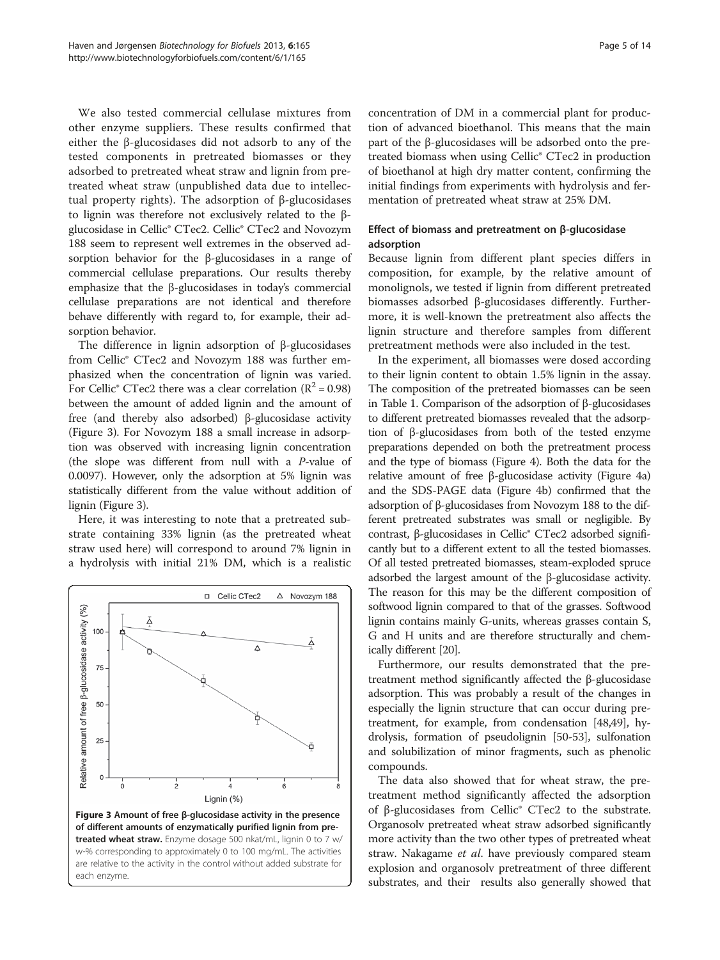We also tested commercial cellulase mixtures from other enzyme suppliers. These results confirmed that either the β-glucosidases did not adsorb to any of the tested components in pretreated biomasses or they adsorbed to pretreated wheat straw and lignin from pretreated wheat straw (unpublished data due to intellectual property rights). The adsorption of β-glucosidases to lignin was therefore not exclusively related to the βglucosidase in Cellic® CTec2. Cellic® CTec2 and Novozym 188 seem to represent well extremes in the observed adsorption behavior for the β-glucosidases in a range of commercial cellulase preparations. Our results thereby emphasize that the β-glucosidases in today's commercial cellulase preparations are not identical and therefore behave differently with regard to, for example, their adsorption behavior.

The difference in lignin adsorption of β-glucosidases from Cellic® CTec2 and Novozym 188 was further emphasized when the concentration of lignin was varied. For Cellic<sup>®</sup> CTec2 there was a clear correlation ( $R^2 = 0.98$ ) between the amount of added lignin and the amount of free (and thereby also adsorbed) β-glucosidase activity (Figure 3). For Novozym 188 a small increase in adsorption was observed with increasing lignin concentration (the slope was different from null with a P-value of 0.0097). However, only the adsorption at 5% lignin was statistically different from the value without addition of lignin (Figure 3).

Here, it was interesting to note that a pretreated substrate containing 33% lignin (as the pretreated wheat straw used here) will correspond to around 7% lignin in a hydrolysis with initial 21% DM, which is a realistic



concentration of DM in a commercial plant for production of advanced bioethanol. This means that the main part of the β-glucosidases will be adsorbed onto the pretreated biomass when using Cellic® CTec2 in production of bioethanol at high dry matter content, confirming the initial findings from experiments with hydrolysis and fermentation of pretreated wheat straw at 25% DM.

# Effect of biomass and pretreatment on β-glucosidase adsorption

Because lignin from different plant species differs in composition, for example, by the relative amount of monolignols, we tested if lignin from different pretreated biomasses adsorbed β-glucosidases differently. Furthermore, it is well-known the pretreatment also affects the lignin structure and therefore samples from different pretreatment methods were also included in the test.

In the experiment, all biomasses were dosed according to their lignin content to obtain 1.5% lignin in the assay. The composition of the pretreated biomasses can be seen in Table 1. Comparison of the adsorption of β-glucosidases to different pretreated biomasses revealed that the adsorption of β-glucosidases from both of the tested enzyme preparations depended on both the pretreatment process and the type of biomass (Figure 4). Both the data for the relative amount of free β-glucosidase activity (Figure 4a) and the SDS-PAGE data (Figure 4b) confirmed that the adsorption of β-glucosidases from Novozym 188 to the different pretreated substrates was small or negligible. By contrast, β-glucosidases in Cellic® CTec2 adsorbed significantly but to a different extent to all the tested biomasses. Of all tested pretreated biomasses, steam-exploded spruce adsorbed the largest amount of the β-glucosidase activity. The reason for this may be the different composition of softwood lignin compared to that of the grasses. Softwood lignin contains mainly G-units, whereas grasses contain S, G and H units and are therefore structurally and chemically different [20].

Furthermore, our results demonstrated that the pretreatment method significantly affected the β-glucosidase adsorption. This was probably a result of the changes in especially the lignin structure that can occur during pretreatment, for example, from condensation [48,49], hydrolysis, formation of pseudolignin [50-53], sulfonation and solubilization of minor fragments, such as phenolic compounds.

The data also showed that for wheat straw, the pretreatment method significantly affected the adsorption of β-glucosidases from Cellic® CTec2 to the substrate. Organosolv pretreated wheat straw adsorbed significantly more activity than the two other types of pretreated wheat straw. Nakagame *et al*. have previously compared steam explosion and organosolv pretreatment of three different substrates, and their results also generally showed that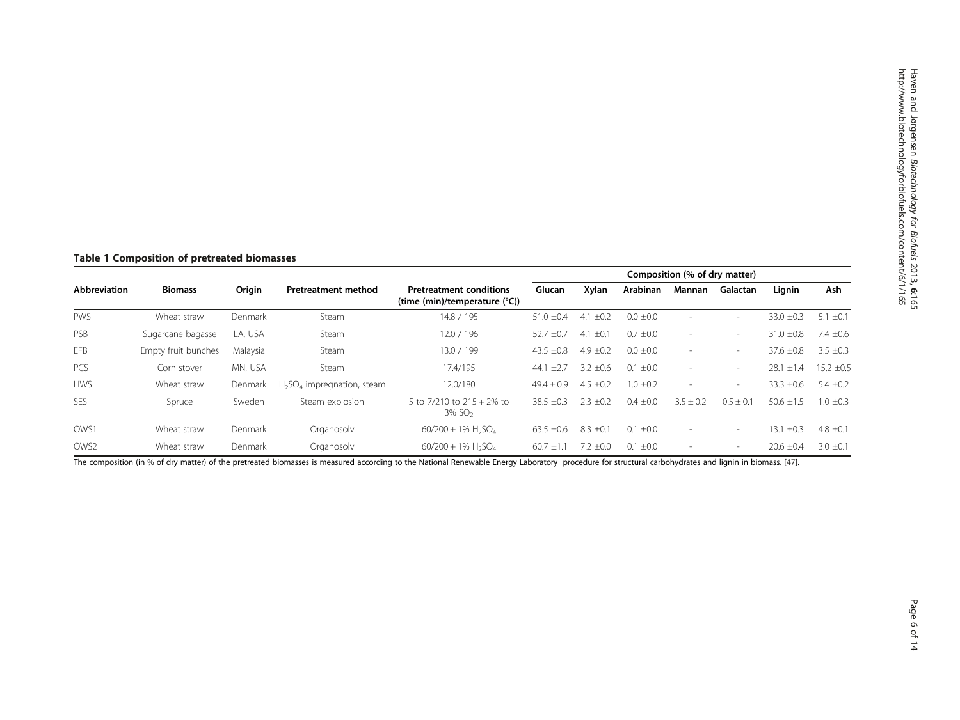# Table 1 Composition of pretreated biomasses

|                     |                     |          |                             |                                                                 | Composition (% of dry matter) |                  |               |                          |                          |                |                |
|---------------------|---------------------|----------|-----------------------------|-----------------------------------------------------------------|-------------------------------|------------------|---------------|--------------------------|--------------------------|----------------|----------------|
| <b>Abbreviation</b> | <b>Biomass</b>      | Origin   | <b>Pretreatment method</b>  | <b>Pretreatment conditions</b><br>(time (min)/temperature (°C)) | Glucan                        | Xylan            | Arabinan      | <b>Mannan</b>            | Galactan                 | Lignin         | Ash            |
| <b>PWS</b>          | Wheat straw         | Denmark  | Steam                       | 14.8 / 195                                                      | $51.0 + 0.4$                  | 4.1<br>$+0.2$    | $0.0 + 0.0$   | $\overline{\phantom{a}}$ | $\overline{\phantom{a}}$ | $33.0 \pm 0.3$ | $5.1 \pm 0.1$  |
| PSB                 | Sugarcane bagasse   | LA, USA  | Steam                       | 12.0 / 196                                                      | $52.7 \pm 0.7$                | 4.1<br>$\pm 0.1$ | $0.7 \pm 0.0$ | $\sim$                   | $\sim$                   | $31.0 \pm 0.8$ | $7.4 \pm 0.6$  |
| EFB                 | Empty fruit bunches | Malaysia | Steam                       | 13.0 / 199                                                      | 43.5 $\pm$ 0.8                | $4.9 \pm 0.2$    | $0.0 \pm 0.0$ | ۰                        | $\overline{\phantom{a}}$ | $37.6 \pm 0.8$ | $3.5 \pm 0.3$  |
| PCS                 | Corn stover         | MN, USA  | Steam                       | 17.4/195                                                        | $\pm 2.7$<br>44.1             | $3.2 \pm 0.6$    | $0.1 \pm 0.0$ | $\overline{\phantom{a}}$ | $\overline{\phantom{a}}$ | $28.1 \pm 1.4$ | $15.2 \pm 0.5$ |
| <b>HWS</b>          | Wheat straw         | Denmark  | $H2SO4$ impregnation, steam | 12.0/180                                                        | $49.4 \pm 0.9$                | $4.5 \pm 0.2$    | $1.0 \pm 0.2$ | $\overline{\phantom{a}}$ | $\sim$                   | $33.3 \pm 0.6$ | $5.4 \pm 0.2$  |
| <b>SES</b>          | Spruce              | Sweden   | Steam explosion             | 5 to $7/210$ to $215 + 2\%$ to<br>$3\%$ SO <sub>2</sub>         | $38.5 + 0.3$                  | $2.3 + 0.2$      | $0.4 \pm 0.0$ | $3.5 \pm 0.2$            | $0.5 \pm 0.1$            | $50.6 \pm 1.5$ | $1.0 \pm 0.3$  |
| OWS1                | Wheat straw         | Denmark  | Organosolv                  | $60/200 + 1\%$ H <sub>2</sub> SO <sub>4</sub>                   | $63.5 \pm 0.6$                | $8.3 \pm 0.1$    | $0.1 \pm 0.0$ | $\sim$                   | $\overline{\phantom{a}}$ | $13.1 \pm 0.3$ | $4.8 \pm 0.1$  |
| OWS <sub>2</sub>    | Wheat straw         | Denmark  | Organosolv                  | $60/200 + 1\%$ H <sub>2</sub> SO <sub>4</sub>                   | $60.7 \pm 1.1$                | $7.2 \pm 0.0$    | $0.1 \pm 0.0$ | $\sim$                   | $\overline{\phantom{a}}$ | $20.6 \pm 0.4$ | $3.0 \pm 0.1$  |

The composition (in % of dry matter) of the pretreated biomasses is measured according to the National Renewable Energy Laboratory procedure for structural carbohydrates and lignin in biomass. [47].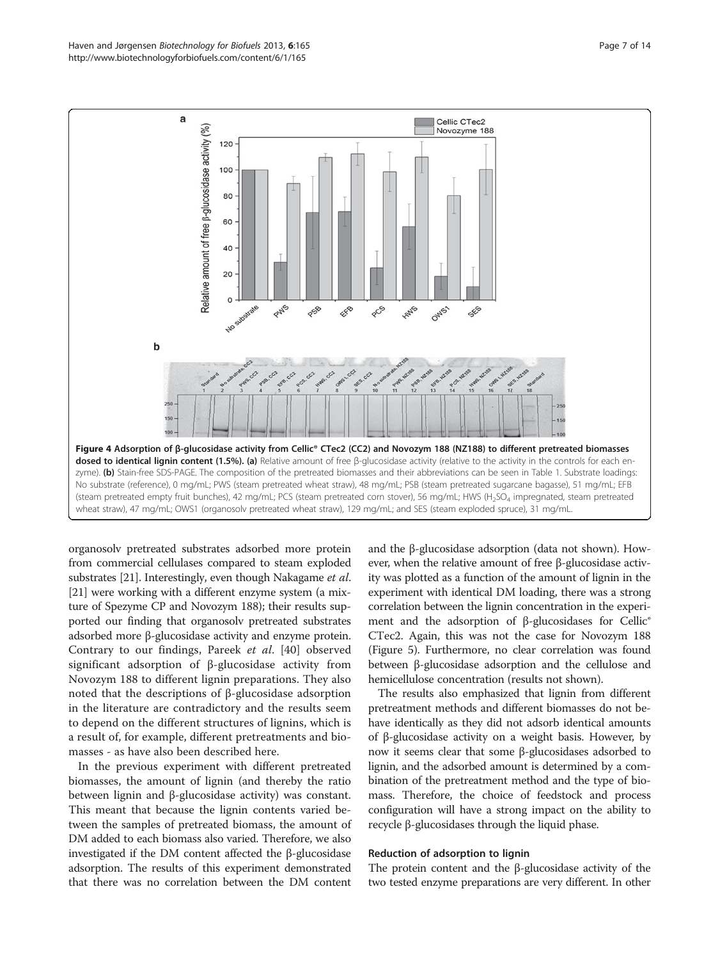

organosolv pretreated substrates adsorbed more protein from commercial cellulases compared to steam exploded substrates [21]. Interestingly, even though Nakagame et al. [21] were working with a different enzyme system (a mixture of Spezyme CP and Novozym 188); their results supported our finding that organosolv pretreated substrates adsorbed more β-glucosidase activity and enzyme protein. Contrary to our findings, Pareek et al. [40] observed significant adsorption of β-glucosidase activity from Novozym 188 to different lignin preparations. They also noted that the descriptions of β-glucosidase adsorption in the literature are contradictory and the results seem to depend on the different structures of lignins, which is a result of, for example, different pretreatments and biomasses - as have also been described here.

In the previous experiment with different pretreated biomasses, the amount of lignin (and thereby the ratio between lignin and β-glucosidase activity) was constant. This meant that because the lignin contents varied between the samples of pretreated biomass, the amount of DM added to each biomass also varied. Therefore, we also investigated if the DM content affected the β-glucosidase adsorption. The results of this experiment demonstrated that there was no correlation between the DM content

and the β-glucosidase adsorption (data not shown). However, when the relative amount of free β-glucosidase activity was plotted as a function of the amount of lignin in the experiment with identical DM loading, there was a strong correlation between the lignin concentration in the experiment and the adsorption of β-glucosidases for Cellic<sup>®</sup> CTec2. Again, this was not the case for Novozym 188 (Figure 5). Furthermore, no clear correlation was found between β-glucosidase adsorption and the cellulose and hemicellulose concentration (results not shown).

The results also emphasized that lignin from different pretreatment methods and different biomasses do not behave identically as they did not adsorb identical amounts of β-glucosidase activity on a weight basis. However, by now it seems clear that some β-glucosidases adsorbed to lignin, and the adsorbed amount is determined by a combination of the pretreatment method and the type of biomass. Therefore, the choice of feedstock and process configuration will have a strong impact on the ability to recycle β-glucosidases through the liquid phase.

#### Reduction of adsorption to lignin

The protein content and the β-glucosidase activity of the two tested enzyme preparations are very different. In other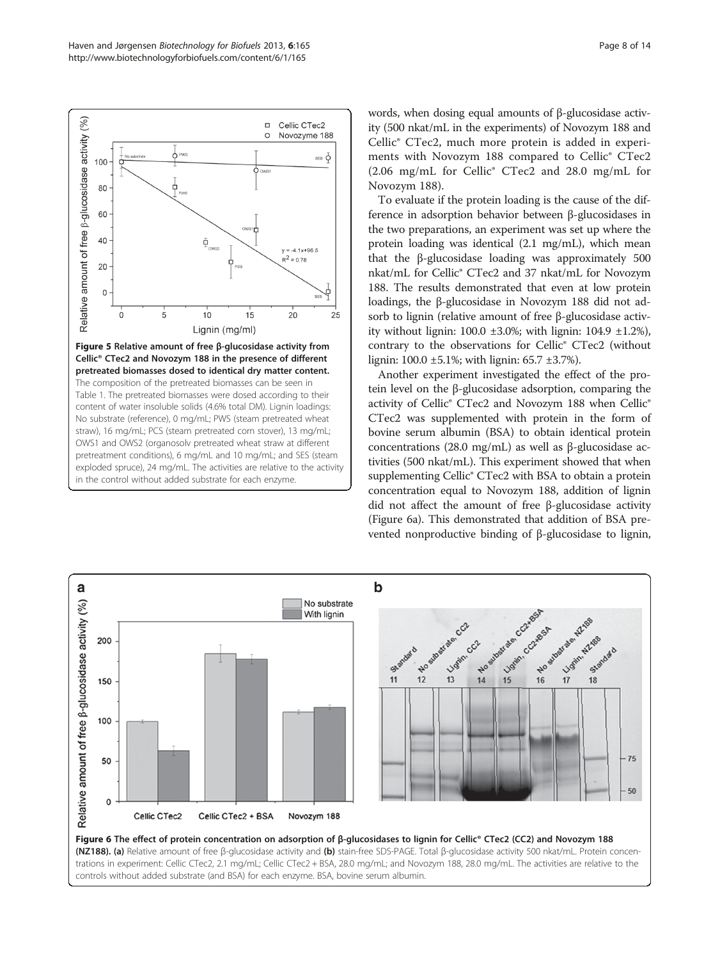



words, when dosing equal amounts of β-glucosidase activity (500 nkat/mL in the experiments) of Novozym 188 and Cellic® CTec2, much more protein is added in experiments with Novozym 188 compared to Cellic® CTec2 (2.06 mg/mL for Cellic® CTec2 and 28.0 mg/mL for Novozym 188).

To evaluate if the protein loading is the cause of the difference in adsorption behavior between β-glucosidases in the two preparations, an experiment was set up where the protein loading was identical (2.1 mg/mL), which mean that the β-glucosidase loading was approximately 500 nkat/mL for Cellic® CTec2 and 37 nkat/mL for Novozym 188. The results demonstrated that even at low protein loadings, the β-glucosidase in Novozym 188 did not adsorb to lignin (relative amount of free β-glucosidase activity without lignin:  $100.0 \pm 3.0\%$ ; with lignin:  $104.9 \pm 1.2\%$ ), contrary to the observations for Cellic® CTec2 (without lignin: 100.0 ±5.1%; with lignin: 65.7 ±3.7%).

Another experiment investigated the effect of the protein level on the β-glucosidase adsorption, comparing the activity of Cellic® CTec2 and Novozym 188 when Cellic® CTec2 was supplemented with protein in the form of bovine serum albumin (BSA) to obtain identical protein concentrations (28.0 mg/mL) as well as β-glucosidase activities (500 nkat/mL). This experiment showed that when supplementing Cellic® CTec2 with BSA to obtain a protein concentration equal to Novozym 188, addition of lignin did not affect the amount of free β-glucosidase activity (Figure 6a). This demonstrated that addition of BSA prevented nonproductive binding of β-glucosidase to lignin,

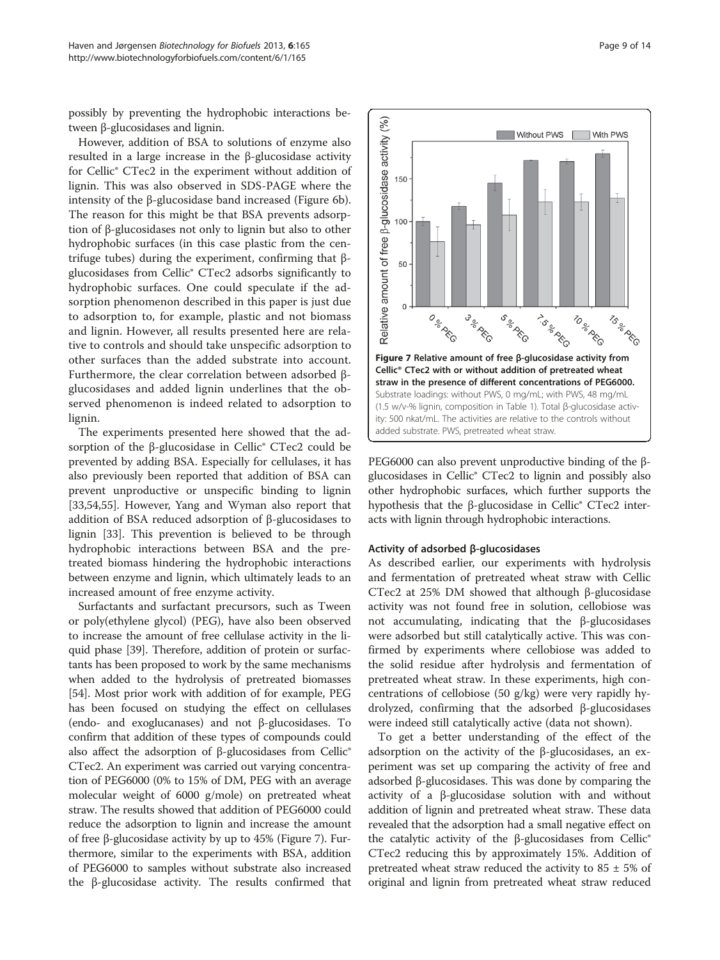possibly by preventing the hydrophobic interactions between β-glucosidases and lignin.

However, addition of BSA to solutions of enzyme also resulted in a large increase in the β-glucosidase activity for Cellic® CTec2 in the experiment without addition of lignin. This was also observed in SDS-PAGE where the intensity of the β-glucosidase band increased (Figure 6b). The reason for this might be that BSA prevents adsorption of β-glucosidases not only to lignin but also to other hydrophobic surfaces (in this case plastic from the centrifuge tubes) during the experiment, confirming that βglucosidases from Cellic® CTec2 adsorbs significantly to hydrophobic surfaces. One could speculate if the adsorption phenomenon described in this paper is just due to adsorption to, for example, plastic and not biomass and lignin. However, all results presented here are relative to controls and should take unspecific adsorption to other surfaces than the added substrate into account. Furthermore, the clear correlation between adsorbed βglucosidases and added lignin underlines that the observed phenomenon is indeed related to adsorption to lignin.

The experiments presented here showed that the adsorption of the β-glucosidase in Cellic® CTec2 could be prevented by adding BSA. Especially for cellulases, it has also previously been reported that addition of BSA can prevent unproductive or unspecific binding to lignin [33,54,55]. However, Yang and Wyman also report that addition of BSA reduced adsorption of β-glucosidases to lignin [33]. This prevention is believed to be through hydrophobic interactions between BSA and the pretreated biomass hindering the hydrophobic interactions between enzyme and lignin, which ultimately leads to an increased amount of free enzyme activity.

Surfactants and surfactant precursors, such as Tween or poly(ethylene glycol) (PEG), have also been observed to increase the amount of free cellulase activity in the liquid phase [39]. Therefore, addition of protein or surfactants has been proposed to work by the same mechanisms when added to the hydrolysis of pretreated biomasses [54]. Most prior work with addition of for example, PEG has been focused on studying the effect on cellulases (endo- and exoglucanases) and not β-glucosidases. To confirm that addition of these types of compounds could also affect the adsorption of β-glucosidases from Cellic<sup>®</sup> CTec2. An experiment was carried out varying concentration of PEG6000 (0% to 15% of DM, PEG with an average molecular weight of 6000 g/mole) on pretreated wheat straw. The results showed that addition of PEG6000 could reduce the adsorption to lignin and increase the amount of free β-glucosidase activity by up to 45% (Figure 7). Furthermore, similar to the experiments with BSA, addition of PEG6000 to samples without substrate also increased the β-glucosidase activity. The results confirmed that



PEG6000 can also prevent unproductive binding of the βglucosidases in Cellic® CTec2 to lignin and possibly also other hydrophobic surfaces, which further supports the hypothesis that the β-glucosidase in Cellic® CTec2 interacts with lignin through hydrophobic interactions.

#### Activity of adsorbed β-glucosidases

As described earlier, our experiments with hydrolysis and fermentation of pretreated wheat straw with Cellic CTec2 at 25% DM showed that although β-glucosidase activity was not found free in solution, cellobiose was not accumulating, indicating that the β-glucosidases were adsorbed but still catalytically active. This was confirmed by experiments where cellobiose was added to the solid residue after hydrolysis and fermentation of pretreated wheat straw. In these experiments, high concentrations of cellobiose (50 g/kg) were very rapidly hydrolyzed, confirming that the adsorbed β-glucosidases were indeed still catalytically active (data not shown).

To get a better understanding of the effect of the adsorption on the activity of the  $β$ -glucosidases, an experiment was set up comparing the activity of free and adsorbed β-glucosidases. This was done by comparing the activity of a β-glucosidase solution with and without addition of lignin and pretreated wheat straw. These data revealed that the adsorption had a small negative effect on the catalytic activity of the β-glucosidases from Cellic® CTec2 reducing this by approximately 15%. Addition of pretreated wheat straw reduced the activity to  $85 \pm 5\%$  of original and lignin from pretreated wheat straw reduced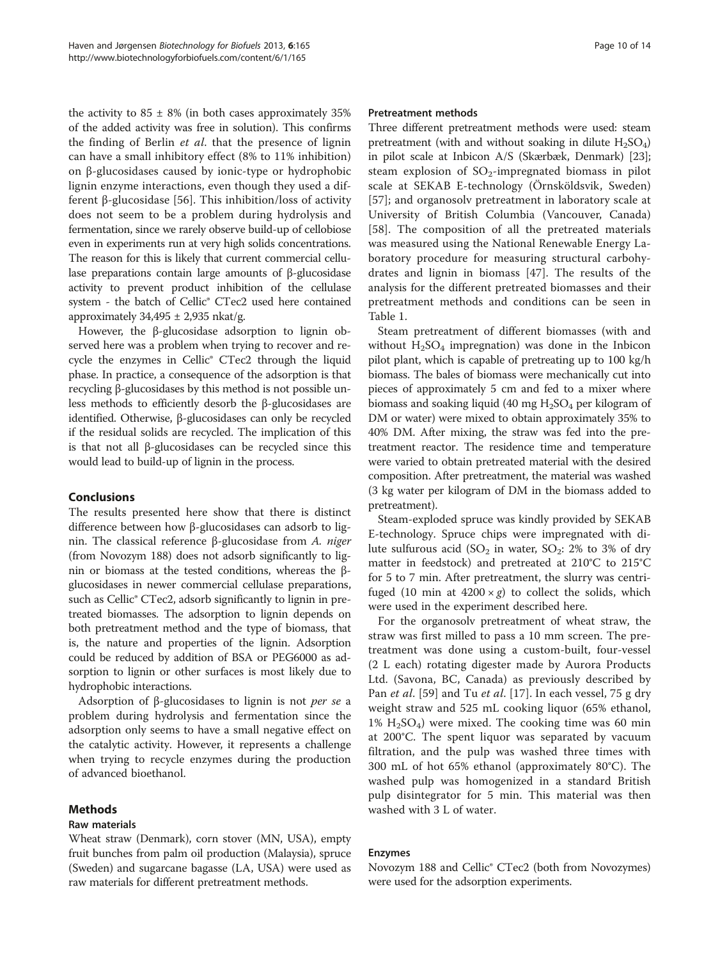the activity to  $85 \pm 8\%$  (in both cases approximately 35%) of the added activity was free in solution). This confirms the finding of Berlin et al. that the presence of lignin can have a small inhibitory effect (8% to 11% inhibition) on β-glucosidases caused by ionic-type or hydrophobic lignin enzyme interactions, even though they used a different β-glucosidase [56]. This inhibition/loss of activity does not seem to be a problem during hydrolysis and fermentation, since we rarely observe build-up of cellobiose even in experiments run at very high solids concentrations. The reason for this is likely that current commercial cellulase preparations contain large amounts of β-glucosidase activity to prevent product inhibition of the cellulase system - the batch of Cellic® CTec2 used here contained approximately  $34,495 \pm 2,935$  nkat/g.

However, the β-glucosidase adsorption to lignin observed here was a problem when trying to recover and recycle the enzymes in Cellic® CTec2 through the liquid phase. In practice, a consequence of the adsorption is that recycling β-glucosidases by this method is not possible unless methods to efficiently desorb the β-glucosidases are identified. Otherwise, β-glucosidases can only be recycled if the residual solids are recycled. The implication of this is that not all β-glucosidases can be recycled since this would lead to build-up of lignin in the process.

# Conclusions

The results presented here show that there is distinct difference between how β-glucosidases can adsorb to lignin. The classical reference β-glucosidase from A. niger (from Novozym 188) does not adsorb significantly to lignin or biomass at the tested conditions, whereas the βglucosidases in newer commercial cellulase preparations, such as Cellic® CTec2, adsorb significantly to lignin in pretreated biomasses. The adsorption to lignin depends on both pretreatment method and the type of biomass, that is, the nature and properties of the lignin. Adsorption could be reduced by addition of BSA or PEG6000 as adsorption to lignin or other surfaces is most likely due to hydrophobic interactions.

Adsorption of β-glucosidases to lignin is not *per se* a problem during hydrolysis and fermentation since the adsorption only seems to have a small negative effect on the catalytic activity. However, it represents a challenge when trying to recycle enzymes during the production of advanced bioethanol.

# Methods

# Raw materials

Wheat straw (Denmark), corn stover (MN, USA), empty fruit bunches from palm oil production (Malaysia), spruce (Sweden) and sugarcane bagasse (LA, USA) were used as raw materials for different pretreatment methods.

### Pretreatment methods

Three different pretreatment methods were used: steam pretreatment (with and without soaking in dilute  $H_2SO_4$ ) in pilot scale at Inbicon A/S (Skærbæk, Denmark) [23]; steam explosion of  $SO_2$ -impregnated biomass in pilot scale at SEKAB E-technology (Örnsköldsvik, Sweden) [57]; and organosolv pretreatment in laboratory scale at University of British Columbia (Vancouver, Canada) [58]. The composition of all the pretreated materials was measured using the National Renewable Energy Laboratory procedure for measuring structural carbohydrates and lignin in biomass [47]. The results of the analysis for the different pretreated biomasses and their pretreatment methods and conditions can be seen in Table 1.

Steam pretreatment of different biomasses (with and without  $H_2SO_4$  impregnation) was done in the Inbicon pilot plant, which is capable of pretreating up to 100 kg/h biomass. The bales of biomass were mechanically cut into pieces of approximately 5 cm and fed to a mixer where biomass and soaking liquid (40 mg  $H_2SO_4$  per kilogram of DM or water) were mixed to obtain approximately 35% to 40% DM. After mixing, the straw was fed into the pretreatment reactor. The residence time and temperature were varied to obtain pretreated material with the desired composition. After pretreatment, the material was washed (3 kg water per kilogram of DM in the biomass added to pretreatment).

Steam-exploded spruce was kindly provided by SEKAB E-technology. Spruce chips were impregnated with dilute sulfurous acid ( $SO_2$  in water,  $SO_2$ : 2% to 3% of dry matter in feedstock) and pretreated at 210°C to 215°C for 5 to 7 min. After pretreatment, the slurry was centrifuged (10 min at  $4200 \times g$ ) to collect the solids, which were used in the experiment described here.

For the organosolv pretreatment of wheat straw, the straw was first milled to pass a 10 mm screen. The pretreatment was done using a custom-built, four-vessel (2 L each) rotating digester made by Aurora Products Ltd. (Savona, BC, Canada) as previously described by Pan et al. [59] and Tu et al. [17]. In each vessel, 75 g dry weight straw and 525 mL cooking liquor (65% ethanol, 1%  $H_2SO_4$ ) were mixed. The cooking time was 60 min at 200°C. The spent liquor was separated by vacuum filtration, and the pulp was washed three times with 300 mL of hot 65% ethanol (approximately 80°C). The washed pulp was homogenized in a standard British pulp disintegrator for 5 min. This material was then washed with 3 L of water.

# Enzymes

Novozym 188 and Cellic® CTec2 (both from Novozymes) were used for the adsorption experiments.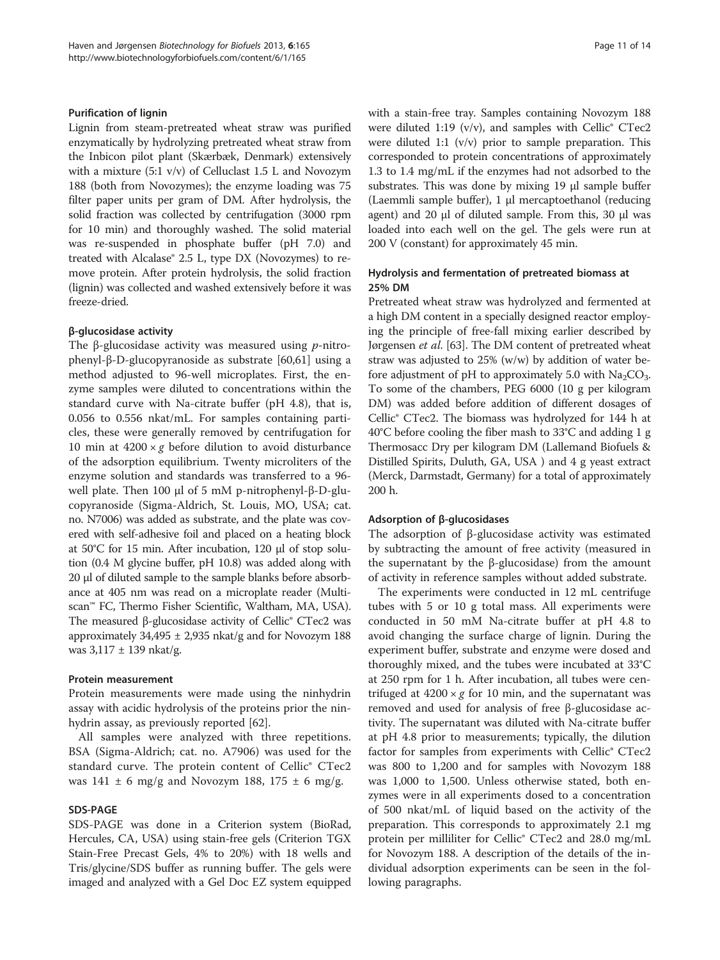#### Purification of lignin

Lignin from steam-pretreated wheat straw was purified enzymatically by hydrolyzing pretreated wheat straw from the Inbicon pilot plant (Skærbæk, Denmark) extensively with a mixture (5:1 v/v) of Celluclast 1.5 L and Novozym 188 (both from Novozymes); the enzyme loading was 75 filter paper units per gram of DM. After hydrolysis, the solid fraction was collected by centrifugation (3000 rpm for 10 min) and thoroughly washed. The solid material was re-suspended in phosphate buffer (pH 7.0) and treated with Alcalase® 2.5 L, type DX (Novozymes) to remove protein. After protein hydrolysis, the solid fraction (lignin) was collected and washed extensively before it was freeze-dried.

### β-glucosidase activity

The β-glucosidase activity was measured using  $p$ -nitrophenyl-β-D-glucopyranoside as substrate [60,61] using a method adjusted to 96-well microplates. First, the enzyme samples were diluted to concentrations within the standard curve with Na-citrate buffer (pH 4.8), that is, 0.056 to 0.556 nkat/mL. For samples containing particles, these were generally removed by centrifugation for 10 min at  $4200 \times g$  before dilution to avoid disturbance of the adsorption equilibrium. Twenty microliters of the enzyme solution and standards was transferred to a 96 well plate. Then 100 μl of 5 mM p-nitrophenyl-β-D-glucopyranoside (Sigma-Aldrich, St. Louis, MO, USA; cat. no. N7006) was added as substrate, and the plate was covered with self-adhesive foil and placed on a heating block at 50°C for 15 min. After incubation, 120 μl of stop solution (0.4 M glycine buffer, pH 10.8) was added along with 20 μl of diluted sample to the sample blanks before absorbance at 405 nm was read on a microplate reader (Multiscan™ FC, Thermo Fisher Scientific, Waltham, MA, USA). The measured β-glucosidase activity of Cellic® CTec2 was approximately  $34,495 \pm 2,935$  nkat/g and for Novozym 188 was  $3,117 \pm 139$  nkat/g.

#### Protein measurement

Protein measurements were made using the ninhydrin assay with acidic hydrolysis of the proteins prior the ninhydrin assay, as previously reported [62].

All samples were analyzed with three repetitions. BSA (Sigma-Aldrich; cat. no. A7906) was used for the standard curve. The protein content of Cellic® CTec2 was  $141 \pm 6$  mg/g and Novozym 188, 175  $\pm 6$  mg/g.

#### SDS-PAGE

SDS-PAGE was done in a Criterion system (BioRad, Hercules, CA, USA) using stain-free gels (Criterion TGX Stain-Free Precast Gels, 4% to 20%) with 18 wells and Tris/glycine/SDS buffer as running buffer. The gels were imaged and analyzed with a Gel Doc EZ system equipped with a stain-free tray. Samples containing Novozym 188 were diluted 1:19 (v/v), and samples with Cellic $^{\circ}$  CTec2 were diluted 1:1 (v/v) prior to sample preparation. This corresponded to protein concentrations of approximately 1.3 to 1.4 mg/mL if the enzymes had not adsorbed to the substrates. This was done by mixing 19 μl sample buffer (Laemmli sample buffer), 1 μl mercaptoethanol (reducing agent) and 20 μl of diluted sample. From this, 30 μl was loaded into each well on the gel. The gels were run at 200 V (constant) for approximately 45 min.

## Hydrolysis and fermentation of pretreated biomass at 25% DM

Pretreated wheat straw was hydrolyzed and fermented at a high DM content in a specially designed reactor employing the principle of free-fall mixing earlier described by Jørgensen et al. [63]. The DM content of pretreated wheat straw was adjusted to 25% (w/w) by addition of water before adjustment of pH to approximately 5.0 with  $Na<sub>2</sub>CO<sub>3</sub>$ . To some of the chambers, PEG 6000 (10 g per kilogram DM) was added before addition of different dosages of Cellic® CTec2. The biomass was hydrolyzed for 144 h at 40°C before cooling the fiber mash to 33°C and adding 1 g Thermosacc Dry per kilogram DM (Lallemand Biofuels & Distilled Spirits, Duluth, GA, USA ) and 4 g yeast extract (Merck, Darmstadt, Germany) for a total of approximately 200 h.

#### Adsorption of β-glucosidases

The adsorption of β-glucosidase activity was estimated by subtracting the amount of free activity (measured in the supernatant by the β-glucosidase) from the amount of activity in reference samples without added substrate.

The experiments were conducted in 12 mL centrifuge tubes with 5 or 10 g total mass. All experiments were conducted in 50 mM Na-citrate buffer at pH 4.8 to avoid changing the surface charge of lignin. During the experiment buffer, substrate and enzyme were dosed and thoroughly mixed, and the tubes were incubated at 33°C at 250 rpm for 1 h. After incubation, all tubes were centrifuged at  $4200 \times g$  for 10 min, and the supernatant was removed and used for analysis of free β-glucosidase activity. The supernatant was diluted with Na-citrate buffer at pH 4.8 prior to measurements; typically, the dilution factor for samples from experiments with Cellic® CTec2 was 800 to 1,200 and for samples with Novozym 188 was 1,000 to 1,500. Unless otherwise stated, both enzymes were in all experiments dosed to a concentration of 500 nkat/mL of liquid based on the activity of the preparation. This corresponds to approximately 2.1 mg protein per milliliter for Cellic® CTec2 and 28.0 mg/mL for Novozym 188. A description of the details of the individual adsorption experiments can be seen in the following paragraphs.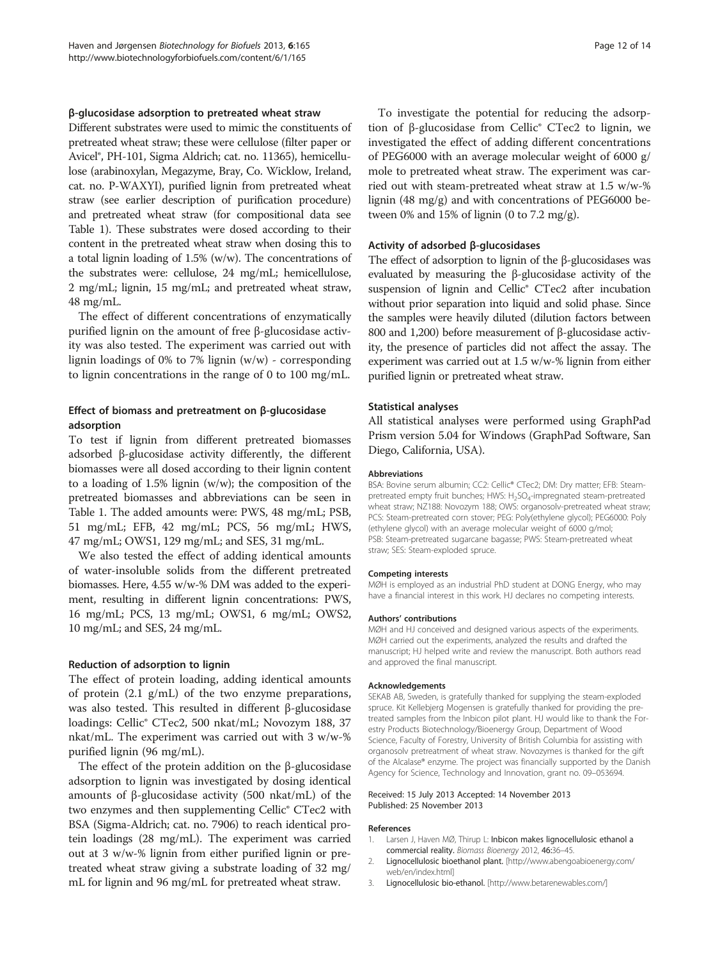#### β-glucosidase adsorption to pretreated wheat straw

Different substrates were used to mimic the constituents of pretreated wheat straw; these were cellulose (filter paper or Avicel®, PH-101, Sigma Aldrich; cat. no. 11365), hemicellulose (arabinoxylan, Megazyme, Bray, Co. Wicklow, Ireland, cat. no. P-WAXYI), purified lignin from pretreated wheat straw (see earlier description of purification procedure) and pretreated wheat straw (for compositional data see Table 1). These substrates were dosed according to their content in the pretreated wheat straw when dosing this to a total lignin loading of 1.5% (w/w). The concentrations of the substrates were: cellulose, 24 mg/mL; hemicellulose, 2 mg/mL; lignin, 15 mg/mL; and pretreated wheat straw, 48 mg/mL.

The effect of different concentrations of enzymatically purified lignin on the amount of free β-glucosidase activity was also tested. The experiment was carried out with lignin loadings of 0% to 7% lignin (w/w) - corresponding to lignin concentrations in the range of 0 to 100 mg/mL.

#### Effect of biomass and pretreatment on β-glucosidase adsorption

To test if lignin from different pretreated biomasses adsorbed β-glucosidase activity differently, the different biomasses were all dosed according to their lignin content to a loading of 1.5% lignin (w/w); the composition of the pretreated biomasses and abbreviations can be seen in Table 1. The added amounts were: PWS, 48 mg/mL; PSB, 51 mg/mL; EFB, 42 mg/mL; PCS, 56 mg/mL; HWS, 47 mg/mL; OWS1, 129 mg/mL; and SES, 31 mg/mL.

We also tested the effect of adding identical amounts of water-insoluble solids from the different pretreated biomasses. Here, 4.55 w/w-% DM was added to the experiment, resulting in different lignin concentrations: PWS, 16 mg/mL; PCS, 13 mg/mL; OWS1, 6 mg/mL; OWS2, 10 mg/mL; and SES, 24 mg/mL.

#### Reduction of adsorption to lignin

The effect of protein loading, adding identical amounts of protein  $(2.1 \text{ g/mL})$  of the two enzyme preparations, was also tested. This resulted in different β-glucosidase loadings: Cellic® CTec2, 500 nkat/mL; Novozym 188, 37 nkat/mL. The experiment was carried out with 3 w/w-% purified lignin (96 mg/mL).

The effect of the protein addition on the β-glucosidase adsorption to lignin was investigated by dosing identical amounts of β-glucosidase activity (500 nkat/mL) of the two enzymes and then supplementing Cellic® CTec2 with BSA (Sigma-Aldrich; cat. no. 7906) to reach identical protein loadings (28 mg/mL). The experiment was carried out at 3 w/w-% lignin from either purified lignin or pretreated wheat straw giving a substrate loading of 32 mg/ mL for lignin and 96 mg/mL for pretreated wheat straw.

To investigate the potential for reducing the adsorption of β-glucosidase from Cellic® CTec2 to lignin, we investigated the effect of adding different concentrations of PEG6000 with an average molecular weight of 6000 g/ mole to pretreated wheat straw. The experiment was carried out with steam-pretreated wheat straw at 1.5 w/w-% lignin (48 mg/g) and with concentrations of PEG6000 between 0% and 15% of lignin (0 to 7.2 mg/g).

#### Activity of adsorbed β-glucosidases

The effect of adsorption to lignin of the β-glucosidases was evaluated by measuring the β-glucosidase activity of the suspension of lignin and Cellic® CTec2 after incubation without prior separation into liquid and solid phase. Since the samples were heavily diluted (dilution factors between 800 and 1,200) before measurement of β-glucosidase activity, the presence of particles did not affect the assay. The experiment was carried out at 1.5 w/w-% lignin from either purified lignin or pretreated wheat straw.

#### Statistical analyses

All statistical analyses were performed using GraphPad Prism version 5.04 for Windows (GraphPad Software, San Diego, California, USA).

#### Abbreviations

BSA: Bovine serum albumin; CC2: Cellic® CTec2; DM: Dry matter; EFB: Steampretreated empty fruit bunches; HWS: H2SO4-impregnated steam-pretreated wheat straw; NZ188: Novozym 188; OWS: organosolv-pretreated wheat straw; PCS: Steam-pretreated corn stover; PEG: Poly(ethylene glycol); PEG6000: Poly (ethylene glycol) with an average molecular weight of 6000 g/mol; PSB: Steam-pretreated sugarcane bagasse; PWS: Steam-pretreated wheat straw; SES: Steam-exploded spruce.

#### Competing interests

MØH is employed as an industrial PhD student at DONG Energy, who may have a financial interest in this work. HJ declares no competing interests.

#### Authors' contributions

MØH and HJ conceived and designed various aspects of the experiments. MØH carried out the experiments, analyzed the results and drafted the manuscript; HJ helped write and review the manuscript. Both authors read and approved the final manuscript.

#### Acknowledgements

SEKAB AB, Sweden, is gratefully thanked for supplying the steam-exploded spruce. Kit Kellebierg Mogensen is gratefully thanked for providing the pretreated samples from the Inbicon pilot plant. HJ would like to thank the Forestry Products Biotechnology/Bioenergy Group, Department of Wood Science, Faculty of Forestry, University of British Columbia for assisting with organosolv pretreatment of wheat straw. Novozymes is thanked for the gift of the Alcalase® enzyme. The project was financially supported by the Danish Agency for Science, Technology and Innovation, grant no. 09–053694.

#### Received: 15 July 2013 Accepted: 14 November 2013 Published: 25 November 2013

#### References

- 1. Larsen J, Haven MØ, Thirup L: Inbicon makes lignocellulosic ethanol a commercial reality. Biomass Bioenergy 2012, 46:36–45.
- 2. Lignocellulosic bioethanol plant. [http://www.abengoabioenergy.com/ web/en/index.html]
- 3. Lignocellulosic bio-ethanol. [http://www.betarenewables.com/]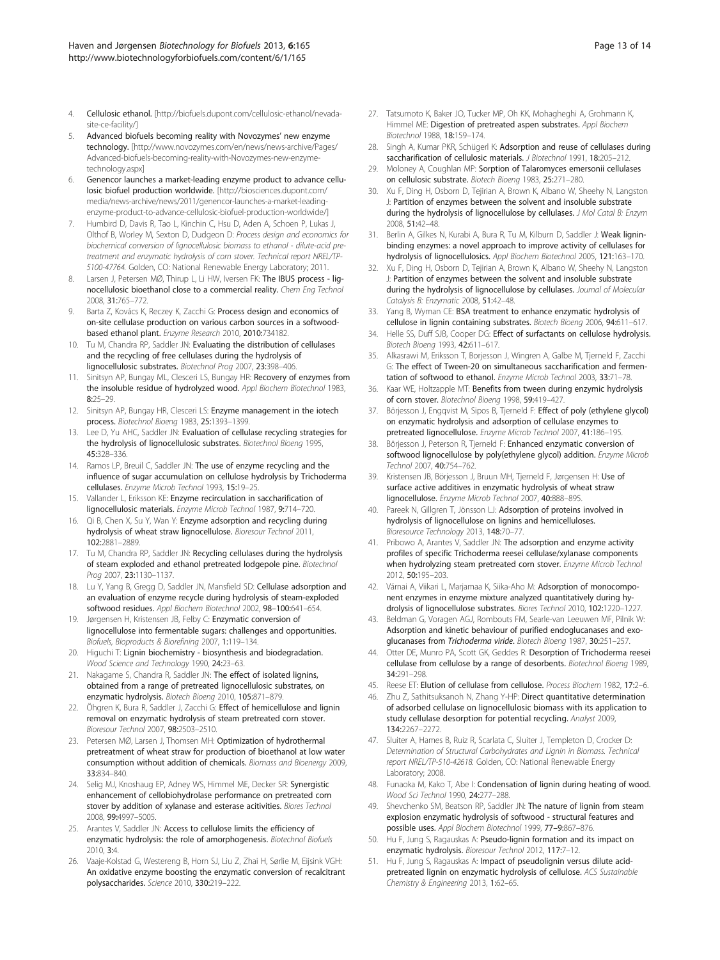- 4. Cellulosic ethanol. [http://biofuels.dupont.com/cellulosic-ethanol/nevadasite-ce-facility/]
- 5. Advanced biofuels becoming reality with Novozymes' new enzyme technology. [http://www.novozymes.com/en/news/news-archive/Pages/ Advanced-biofuels-becoming-reality-with-Novozymes-new-enzymetechnology.aspx]
- 6. Genencor launches a market-leading enzyme product to advance cellulosic biofuel production worldwide. [http://biosciences.dupont.com/ media/news-archive/news/2011/genencor-launches-a-market-leadingenzyme-product-to-advance-cellulosic-biofuel-production-worldwide/]
- Humbird D, Davis R, Tao L, Kinchin C, Hsu D, Aden A, Schoen P, Lukas J, Olthof B, Worley M, Sexton D, Dudgeon D: Process design and economics for biochemical conversion of lignocellulosic biomass to ethanol - dilute-acid pretreatment and enzymatic hydrolysis of corn stover. Technical report NREL/TP-5100-47764. Golden, CO: National Renewable Energy Laboratory; 2011.
- Larsen J, Petersen MØ, Thirup L, Li HW, Iversen FK: The IBUS process lignocellulosic bioethanol close to a commercial reality. Chem Eng Technol 2008, 31:765–772.
- 9. Barta Z, Kovács K, Reczey K, Zacchi G: Process design and economics of on-site cellulase production on various carbon sources in a softwoodbased ethanol plant. Enzyme Research 2010, 2010:734182.
- 10. Tu M, Chandra RP, Saddler JN: Evaluating the distribution of cellulases and the recycling of free cellulases during the hydrolysis of lignocellulosic substrates. Biotechnol Prog 2007, 23:398–406.
- 11. Sinitsyn AP, Bungay ML, Clesceri LS, Bungay HR: Recovery of enzymes from the insoluble residue of hydrolyzed wood. Appl Biochem Biotechnol 1983, 8:25–29.
- 12. Sinitsyn AP, Bungay HR, Clesceri LS: Enzyme management in the iotech process. Biotechnol Bioeng 1983, 25:1393–1399.
- 13. Lee D, Yu AHC, Saddler JN: Evaluation of cellulase recycling strategies for the hydrolysis of lignocellulosic substrates. Biotechnol Bioeng 1995, 45:328–336.
- 14. Ramos LP, Breuil C, Saddler JN: The use of enzyme recycling and the influence of sugar accumulation on cellulose hydrolysis by Trichoderma cellulases. Enzyme Microb Technol 1993, 15:19–25.
- 15. Vallander L, Eriksson KE: Enzyme recirculation in saccharification of lignocellulosic materials. Enzyme Microb Technol 1987, 9:714–720.
- 16. Qi B, Chen X, Su Y, Wan Y: Enzyme adsorption and recycling during hydrolysis of wheat straw lignocellulose. Bioresour Technol 2011, 102:2881–2889.
- 17. Tu M, Chandra RP, Saddler JN: Recycling cellulases during the hydrolysis of steam exploded and ethanol pretreated lodgepole pine. Biotechnol Prog 2007, 23:1130-1137
- 18. Lu Y, Yang B, Gregg D, Saddler JN, Mansfield SD: Cellulase adsorption and an evaluation of enzyme recycle during hydrolysis of steam-exploded softwood residues. Appl Biochem Biotechnol 2002, 98–100:641–654.
- 19. Jørgensen H, Kristensen JB, Felby C: Enzymatic conversion of lignocellulose into fermentable sugars: challenges and opportunities. Biofuels, Bioproducts & Biorefining 2007, 1:119–134.
- 20. Higuchi T: Lignin biochemistry biosynthesis and biodegradation. Wood Science and Technology 1990, 24:23–63.
- 21. Nakagame S, Chandra R, Saddler JN: The effect of isolated lignins, obtained from a range of pretreated lignocellulosic substrates, on enzymatic hydrolysis. Biotech Bioeng 2010, 105:871–879.
- 22. Öhgren K, Bura R, Saddler J, Zacchi G: Effect of hemicellulose and lignin removal on enzymatic hydrolysis of steam pretreated corn stover. Bioresour Technol 2007, 98:2503–2510.
- 23. Petersen MØ, Larsen J, Thomsen MH: Optimization of hydrothermal pretreatment of wheat straw for production of bioethanol at low water consumption without addition of chemicals. Biomass and Bioenergy 2009, 33:834–840.
- 24. Selig MJ, Knoshaug EP, Adney WS, Himmel ME, Decker SR: Synergistic enhancement of cellobiohydrolase performance on pretreated corn stover by addition of xylanase and esterase acitivities. Biores Technol 2008, 99:4997–5005.
- 25. Arantes V, Saddler JN: Access to cellulose limits the efficiency of enzymatic hydrolysis: the role of amorphogenesis. Biotechnol Biofuels 2010, 3:4.
- 26. Vaaje-Kolstad G, Westereng B, Horn SJ, Liu Z, Zhai H, Sørlie M, Eijsink VGH: An oxidative enzyme boosting the enzymatic conversion of recalcitrant polysaccharides. Science 2010, 330:219–222.
- 27. Tatsumoto K, Baker JO, Tucker MP, Oh KK, Mohagheghi A, Grohmann K, Himmel ME: Digestion of pretreated aspen substrates. Appl Biochem Biotechnol 1988, 18:159–174.
- 28. Singh A, Kumar PKR, Schügerl K: Adsorption and reuse of cellulases during saccharification of cellulosic materials. *J Biotechnol* 1991, 18:205–212.
- 29. Moloney A, Coughlan MP: Sorption of Talaromyces emersonii cellulases on cellulosic substrate. Biotech Bioeng 1983, 25:271–280.
- 30. Xu F, Ding H, Osborn D, Tejirian A, Brown K, Albano W, Sheehy N, Langston J: Partition of enzymes between the solvent and insoluble substrate during the hydrolysis of lignocellulose by cellulases. J Mol Catal B: Enzym 2008, 51:42–48.
- 31. Berlin A, Gilkes N, Kurabi A, Bura R, Tu M, Kilburn D, Saddler J: Weak ligninbinding enzymes: a novel approach to improve activity of cellulases for hydrolysis of lignocellulosics. Appl Biochem Biotechnol 2005, 121:163–170.
- 32. Xu F, Ding H, Osborn D, Tejirian A, Brown K, Albano W, Sheehy N, Langston J: Partition of enzymes between the solvent and insoluble substrate during the hydrolysis of lignocellulose by cellulases. Journal of Molecular Catalysis B: Enzymatic 2008, 51:42–48.
- 33. Yang B, Wyman CE: BSA treatment to enhance enzymatic hydrolysis of cellulose in lignin containing substrates. Biotech Bioeng 2006, 94:611–617.
- 34. Helle SS, Duff SJB, Cooper DG: Effect of surfactants on cellulose hydrolysis. Biotech Bioeng 1993, 42:611–617.
- 35. Alkasrawi M, Eriksson T, Borjesson J, Wingren A, Galbe M, Tjerneld F, Zacchi G: The effect of Tween-20 on simultaneous saccharification and fermentation of softwood to ethanol. Enzyme Microb Technol 2003, 33:71-78
- 36. Kaar WE, Holtzapple MT: Benefits from tween during enzymic hydrolysis of corn stover. Biotechnol Bioeng 1998, 59:419–427.
- 37. Börjesson J, Engqvist M, Sipos B, Tjerneld F: Effect of poly (ethylene glycol) on enzymatic hydrolysis and adsorption of cellulase enzymes to pretreated lignocellulose. Enzyme Microb Technol 2007, 41:186–195.
- 38. Börjesson J, Peterson R, Tjerneld F: Enhanced enzymatic conversion of softwood lignocellulose by poly(ethylene glycol) addition. Enzyme Microb Technol 2007, 40:754–762.
- Kristensen JB, Börjesson J, Bruun MH, Tjerneld F, Jørgensen H: Use of surface active additives in enzymatic hydrolysis of wheat straw lignocellulose. Enzyme Microb Technol 2007, 40:888-895.
- 40. Pareek N, Gillgren T, Jönsson LJ: Adsorption of proteins involved in hydrolysis of lignocellulose on lignins and hemicelluloses. Bioresource Technology 2013, 148:70–77.
- 41. Pribowo A, Arantes V, Saddler JN: The adsorption and enzyme activity profiles of specific Trichoderma reesei cellulase/xylanase components when hydrolyzing steam pretreated corn stover. Enzyme Microb Technol 2012, 50:195–203.
- 42. Várnai A, Viikari L, Marjamaa K, Siika-Aho M: Adsorption of monocomponent enzymes in enzyme mixture analyzed quantitatively during hydrolysis of lignocellulose substrates. Biores Technol 2010, 102:1220–1227.
- 43. Beldman G, Voragen AGJ, Rombouts FM, Searle-van Leeuwen MF, Pilnik W: Adsorption and kinetic behaviour of purified endoglucanases and exoglucanases from Trichoderma viride. Biotech Bioeng 1987, 30:251-257.
- Otter DE, Munro PA, Scott GK, Geddes R: Desorption of Trichoderma reesei cellulase from cellulose by a range of desorbents. Biotechnol Bioeng 1989, 34:291–298.
- 45. Reese ET: Elution of cellulase from cellulose. Process Biochem 1982, 17:2–6.
- Zhu Z, Sathitsuksanoh N, Zhang Y-HP: Direct quantitative determination of adsorbed cellulase on lignocellulosic biomass with its application to study cellulase desorption for potential recycling. Analyst 2009, 134:2267–2272.
- 47. Sluiter A, Hames B, Ruiz R, Scarlata C, Sluiter J, Templeton D, Crocker D: Determination of Structural Carbohydrates and Lignin in Biomass. Technical report NREL/TP-510-42618. Golden, CO: National Renewable Energy Laboratory; 2008.
- 48. Funaoka M, Kako T, Abe I: Condensation of lignin during heating of wood. Wood Sci Technol 1990, 24:277–288.
- 49. Shevchenko SM, Beatson RP, Saddler JN: The nature of lignin from steam explosion enzymatic hydrolysis of softwood - structural features and possible uses. Appl Biochem Biotechnol 1999, 77–9:867–876.
- 50. Hu F, Jung S, Ragauskas A: Pseudo-lignin formation and its impact on enzymatic hydrolysis. Bioresour Technol 2012, 117:7–12.
- 51. Hu F, Jung S, Ragauskas A: Impact of pseudolignin versus dilute acidpretreated lignin on enzymatic hydrolysis of cellulose. ACS Sustainable Chemistry & Engineering 2013, 1:62–65.